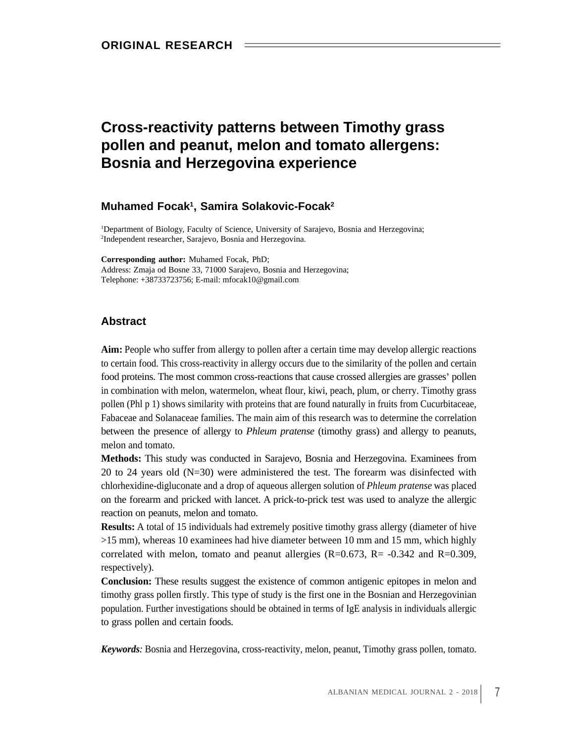# **Cross-reactivity patterns between Timothy grass pollen and peanut, melon and tomato allergens: Bosnia and Herzegovina experience**

#### **Muhamed Focak 1 , Samira Solakovic-Focak 2**

1Department of Biology, Faculty of Science, University of Sarajevo, Bosnia and Herzegovina; 2 Independent researcher, Sarajevo, Bosnia and Herzegovina.

**Corresponding author:** Muhamed Focak, PhD; Address: Zmaja od Bosne 33, 71000 Sarajevo, Bosnia and Herzegovina; Telephone: +38733723756; E-mail: mfocak10@gmail.com

### **Abstract**

**Aim:** People who suffer from allergy to pollen after a certain time may develop allergic reactions to certain food. This cross-reactivity in allergy occurs due to the similarity of the pollen and certain food proteins. The most common cross-reactions that cause crossed allergies are grasses' pollen in combination with melon, watermelon, wheat flour, kiwi, peach, plum, or cherry. Timothy grass pollen (Phl p 1) shows similarity with proteins that are found naturally in fruits from Cucurbitaceae, Fabaceae and Solanaceae families. The main aim of this research was to determine the correlation between the presence of allergy to *Phleum pratense* (timothy grass) and allergy to peanuts, melon and tomato.

**Methods:** This study was conducted in Sarajevo, Bosnia and Herzegovina. Examinees from 20 to 24 years old (N=30) were administered the test. The forearm was disinfected with chlorhexidine-digluconate and a drop of aqueous allergen solution of *Phleum pratense* was placed on the forearm and pricked with lancet. A prick-to-prick test was used to analyze the allergic reaction on peanuts, melon and tomato.

**Results:** A total of 15 individuals had extremely positive timothy grass allergy (diameter of hive >15 mm), whereas 10 examinees had hive diameter between 10 mm and 15 mm, which highly correlated with melon, tomato and peanut allergies  $(R=0.673, R=-0.342, and R=0.309,$ respectively).

**Conclusion:** These results suggest the existence of common antigenic epitopes in melon and timothy grass pollen firstly. This type of study is the first one in the Bosnian and Herzegovinian population. Further investigations should be obtained in terms of IgE analysis in individuals allergic to grass pollen and certain foods.

*Keywords:* Bosnia and Herzegovina, cross-reactivity, melon, peanut, Timothy grass pollen, tomato.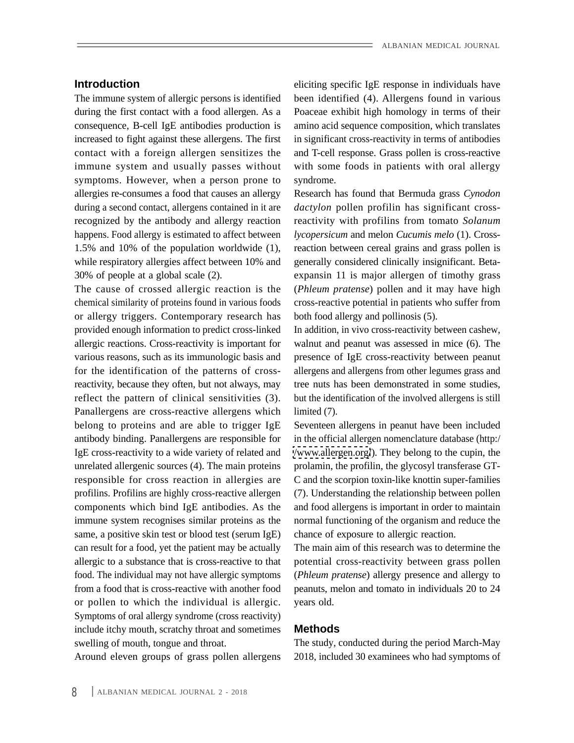The immune system of allergic persons is identified immune system and usually passes without symptoms. However, when a person prone to syndrome. allergies re-consumes a food that causes an allergy Research has found that Bermuda grass *Cynodon* happens. Food allergy is estimated to affect between while respiratory allergies affect between 10% and

The cause of crossed allergic reaction is the chemical similarity of proteins found in various foods cross-reactive potential in patients who suffer from or allergy triggers. Contemporary research has provided enough information to predict cross-linked In addition, in vivo cross-reactivity between cashew, allergic reactions. Cross-reactivity is important for walnut and peanut was assessed in mice (6). The various reasons, such as its immunologic basis and presence of IgE cross-reactivity between peanut for the identification of the patterns of crossreactivity, because they often, but not always, may tree nuts has been demonstrated in some studies, reflect the pattern of clinical sensitivities (3). Panallergens are cross-reactive allergens which limited (7). belong to proteins and are able to trigger IgE Seventeen allergens in peanut have been included antibody binding. Panallergens are responsible for IgE cross-reactivity to a wide variety of related and </www.allergen.org/>). They belong to the cupin, the unrelated allergenic sources (4). The main proteins prolamin, the profilin, the glycosyl transferase GTresponsible for cross reaction in allergies are profilins. Profilins are highly cross-reactive allergen (7). Understanding the relationship between pollen components which bind IgE antibodies. As the and food allergens is important in order to maintain immune system recognises similar proteins as the normal functioning of the organism and reduce the same, a positive skin test or blood test (serum IgE) can result for a food, yet the patient may be actually The main aim of this research was to determine the allergic to a substance that is cross-reactive to that potential cross-reactivity between grass pollen food. The individual may not have allergic symptoms (*Phleum pratense*) allergy presence and allergy to from a food that is cross-reactive with another food peanuts, melon and tomato in individuals 20 to 24 or pollen to which the individual is allergic. Symptoms of oral allergy syndrome (cross reactivity) include itchy mouth, scratchy throat and sometimes **Methods** 

Around eleven groups of grass pollen allergens

**Introduction** eliciting specific IgE response in individuals have during the first contact with a food allergen. As a Poaceae exhibit high homology in terms of their consequence, B-cell IgE antibodies production is amino acid sequence composition, which translates increased to fight against these allergens. The first in significant cross-reactivity in terms of antibodies contact with a foreign allergen sensitizes the and T-cell response. Grass pollen is cross-reactive been identified (4). Allergens found in various with some foods in patients with oral allergy syndrome.

during a second contact, allergens contained in it are *dactylon* pollen profilin has significant crossrecognized by the antibody and allergy reaction reactivity with profilins from tomato Solanum 1.5% and 10% of the population worldwide (1), reaction between cereal grains and grass pollen is 30% of people at a global scale (2). expansin 11 is major allergen of timothy grass *lycopersicum* and melon *Cucumis melo* (1). Crossgenerally considered clinically insignificant. Beta- (*Phleum pratense*) pollen and it may have high both food allergy and pollinosis (5).

> allergens and allergens from other legumes grass and but the identification of the involved allergens is still limited (7).

in the official allergen nomenclature database (http:/ C and the scorpion toxin-like knottin super-families chance of exposure to allergic reaction.

years old.

## **Methods**

swelling of mouth, tongue and throat. The study, conducted during the period March-May 2018, included 30 examinees who had symptoms of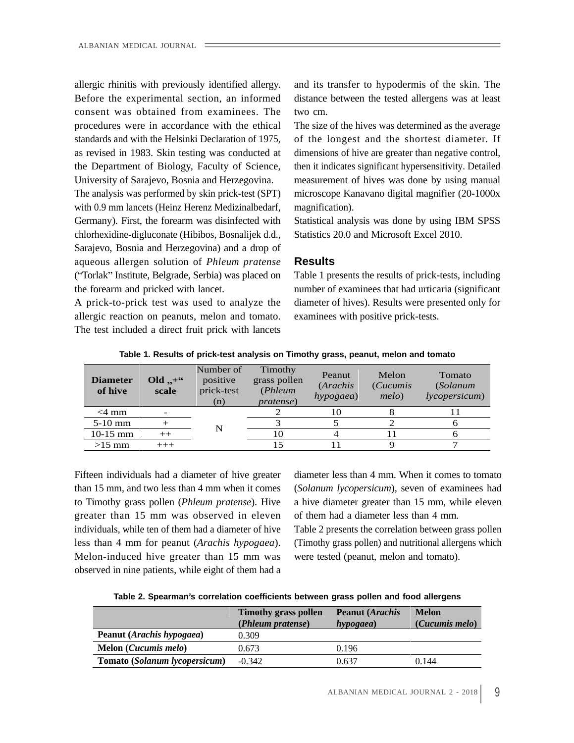allergic rhinitis with previously identified allergy. consent was obtained from examinees. The procedures were in accordance with the ethical

with 0.9 mm lancets (Heinz Herenz Medizinalbedarf, magnification). Germany). First, the forearm was disinfected with Statistical analysis was done by using IBM SPSS chlorhexidine-digluconate (Hibibos, Bosnalijek d.d., Sarajevo, Bosnia and Herzegovina) and a drop of aqueous allergen solution of *Phleum pratense* ("Torlak" Institute, Belgrade, Serbia) was placed on Table 1 presents the results of prick-tests, including

allergic reaction on peanuts, melon and tomato. The test included a direct fruit prick with lancets

Before the experimental section, an informed distance between the tested allergens was at least and its transfer to hypodermis of the skin. The two cm.

standards and with the Helsinki Declaration of 1975, of the longest and the shortest diameter. If as revised in 1983. Skin testing was conducted at dimensions of hive are greater than negative control, the Department of Biology, Faculty of Science, then it indicates significant hypersensitivity. Detailed University of Sarajevo, Bosnia and Herzegovina. measurement of hives was done by using manual The analysis was performed by skin prick-test (SPT) microscope Kanavano digital magnifier (20-1000x The size of the hives was determined as the average magnification).

> Statistical analysis was done by using IBM SPSS Statistics 20.0 and Microsoft Excel 2010.

### **Results**

the forearm and pricked with lancet. number of examinees that had urticaria (significant A prick-to-prick test was used to analyze the diameter of hives). Results were presented only for examinees with positive prick-tests.

**Table 1. Results of prick-test analysis on Timothy grass, peanut, melon and tomato**

Fifteen individuals had a diameter of hive greater to Timothy grass pollen (*Phleum pratense*). Hive greater than 15 mm was observed in eleven of them had a diameter less than 4 mm. individuals, while ten of them had a diameter of hive Table 2 presents the correlation between grass pollen less than 4 mm for peanut (*Arachis hypogaea*). (Timothy grass pollen) and nutritional allergens which Melon-induced hive greater than 15 mm was observed in nine patients, while eight of them had a

than 15 mm, and two less than 4 mm when it comes (*Solanum lycopersicum*), seven of examinees had diameter less than 4 mm. When it comes to tomato a hive diameter greater than 15 mm, while eleven of them had a diameter less than 4 mm.

were tested (peanut, melon and tomato).

**Table 2. Spearman s correlation coefficients between grass pollen and food allergens**

|                                      | <b>Timothy grass pollen</b><br>(Phleum pratense) | <b>Peanut (Arachis</b><br>hypogaea) | <b>Melon</b><br>(Cucumis melo) |
|--------------------------------------|--------------------------------------------------|-------------------------------------|--------------------------------|
| Peanut (Arachis hypogaea)            | .309                                             |                                     |                                |
| <b>Melon</b> ( <i>Cucumis melo</i> ) | 0.673                                            |                                     |                                |
| Tomato (Solanum lycopersicum)        | $-0.342$                                         | J.63                                | 0.144                          |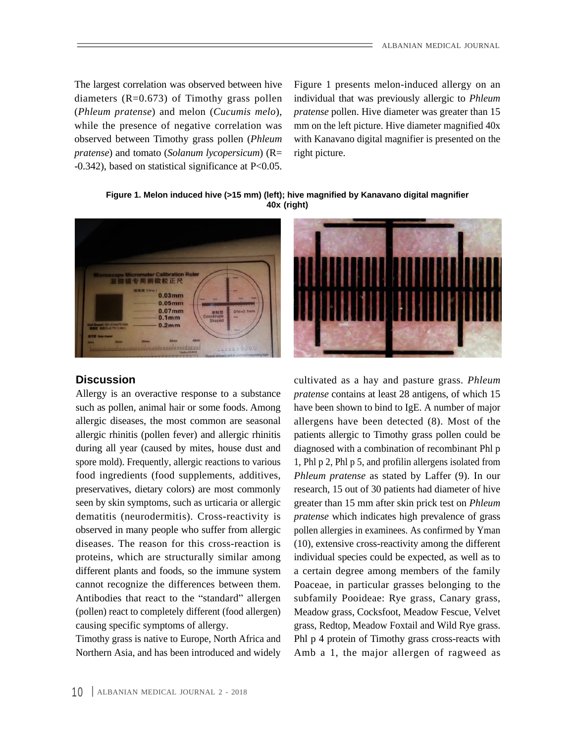The largest correlation was observed between hive Figure 1 presents melon-induced allergy on an while the presence of negative correlation was observed between Timothy grass pollen (*Phleum pratense*) and tomato (*Solanum lycopersicum*) (R= right picture. The largest correlation was observed between hive Figure 1 presents melon-induced allergy on an diameters (R=0.673) of Timothy grass pollen individual that was previously allergic to *Phleum* (*Phleum pratense*) and melon

diameters (R=0.673) of Timothy grass pollen individual that was previously allergic to *Phleum* (*Phleum pratense*) and melon (*Cucumis melo*), *pratense* pollen. Hive diameter was greater than 15 mm on the left picture. Hive diameter magnified  $40x$ with Kanavano digital magnifier is presented on the right picture.

**Figure 1. Melon induced hive (>15 mm) (left); hive magnified by Kanavano digital magnifier 40x (right)**



Allergy is an overactive response to a substance



**Discussion** cultivated as a hay and pasture grass. *Phleum* such as pollen, animal hair or some foods. Among have been shown to bind to IgE. A number of major allergic diseases, the most common are seasonal allergens have been detected (8). Most of the allergic rhinitis (pollen fever) and allergic rhinitis patients allergic to Timothy grass pollen could be during all year (caused by mites, house dust and diagnosed with a combination of recombinant Phl p spore mold). Frequently, allergic reactions to various 1, Phl p 2, Phl p 5, and profilin allergens isolated from food ingredients (food supplements, additives, *Phleum pratense* as stated by Laffer (9). In our preservatives, dietary colors) are most commonly research, 15 out of 30 patients had diameter of hive seen by skin symptoms, such as urticaria or allergic greater than 15 mm after skin prick test on *Phleum* dematitis (neurodermitis). Cross-reactivity is *pratense* which indicates high prevalence of grass observed in many people who suffer from allergic pollen allergies in examinees. As confirmed by Yman diseases. The reason for this cross-reaction is (10), extensive cross-reactivity among the different proteins, which are structurally similar among individual species could be expected, as wellas to different plants and foods, so the immune system a certain degree among members of the family cannot recognize the differences between them. Poaceae, in particular grasses belonging to the Antibodies that react to the "standard" allergen subfamily Pooideae: Rye grass, Canary grass, (pollen) react to completely different (food allergen) Meadow grass, Cocksfoot, Meadow Fescue, Velvet causing specific symptoms of allergy. grass, Redtop, Meadow Foxtail and Wild Rye grass. Timothy grass is native to Europe, North Africa and Phl p 4 protein of Timothy grass cross-reacts with Northern Asia, and has been introduced and widely Amb a 1, the major allergen of ragweed as*pratense* contains at least 28 antigens, of which 15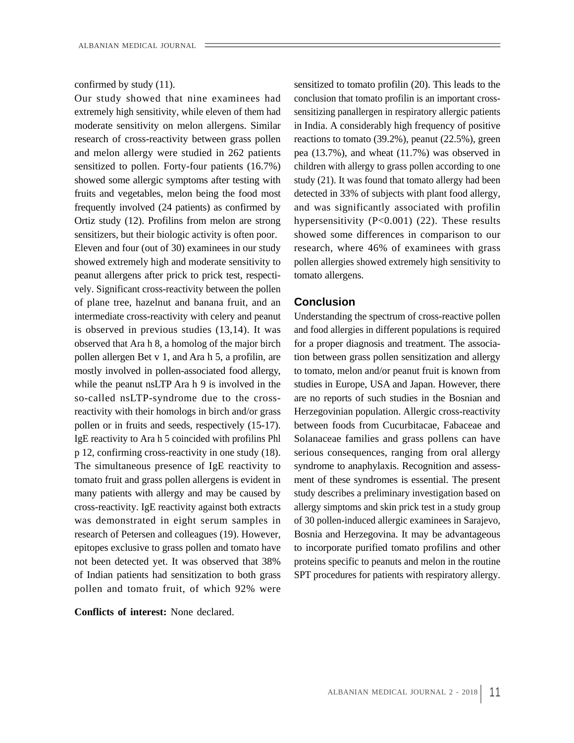extremely high sensitivity, while eleven of them had sensitizing panallergen in respiratory allergic patients moderate sensitivity on melon allergens. Similar in India. A considerably high frequency of positive research of cross-reactivity between grass pollen reactions to tomato (39.2%), peanut (22.5%), green and melon allergy were studied in 262 patients sensitized to pollen. Forty-four patients (16.7%) children with allergy to grass pollen according to one showed some allergic symptoms after testing with fruits and vegetables, melon being the food most detected in 33% of subjects with plant food allergy, frequently involved (24 patients) as confirmed by and was significantly associated with profilin Ortiz study (12). Profilins from melon are strong hypersensitivity (P<0.001) (22). These results sensitizers, but their biologic activity is often poor. showed some differences in comparison to our Eleven and four (out of 30) examinees in our study research, where 46% of examinees with grass showed extremely high and moderate sensitivity to pollen allergies showed extremely high sensitivity to peanut allergens after prick to prick test, respecti-<br>tomato allergens. vely. Significant cross-reactivity between the pollen of plane tree, hazelnut and banana fruit, and an **Conclusion** intermediate cross-reactivity with celery and peanut Understanding the spectrum of cross-reactive pollen observed that Ara h 8, a homolog of the major birch pollen allergen Bet v 1, and Ara h 5, a profilin, are pollen or in fruits and seeds, respectively (15-17). p 12, confirming cross-reactivity in one study (18). The simultaneous presence of IgE reactivity to tomato fruit and grass pollen allergens is evident in many patients with allergy and may be caused by cross-reactivity. IgE reactivity against both extracts was demonstrated in eight serum samples in epitopes exclusive to grass pollen and tomato have not been detected yet. It was observed that 38% of Indian patients had sensitization to both grass pollen and tomato fruit, of which 92% were

**Conflicts of interest:** None declared.

confirmed by study (11). sensitized to tomato profilin (20). This leads to the Our study showed that nine examinees had conclusion that tomato profilin is an important crosspea (13.7%), and wheat (11.7%) was observed in study (21). It was found that tomato allergy had been tomato allergens.

### **Conclusion**

is observed in previous studies (13,14). It was and food allergies in different populations is required mostly involved in pollen-associated food allergy, to tomato, melon and/or peanut fruit is known from while the peanut nsLTP Ara h 9 is involved in the studies in Europe, USA and Japan. However, there so-called nsLTP-syndrome due to the cross-are no reports of such studies in the Bosnian and reactivity with their homologs in birch and/or grass Herzegovinian population. Allergic cross-reactivity IgE reactivity to Ara h 5 coincided with profilins Phl Solanaceae families and grass pollens can have research of Petersen and colleagues (19). However, Bosnia and Herzegovina. It may be advantageous for a proper diagnosis and treatment. The association between grass pollen sensitization and allergy between foods from Cucurbitacae, Fabaceae and serious consequences, ranging from oral allergy syndrome to anaphylaxis. Recognition and assess ment of these syndromes is essential. The present study describes a preliminary investigation based on allergy simptoms and skin prick test in a study group of 30 pollen-induced allergic examinees in Sarajevo, to incorporate purified tomato profilins and other proteins specific to peanuts and melon in the routine SPT procedures for patients with respiratory allergy.